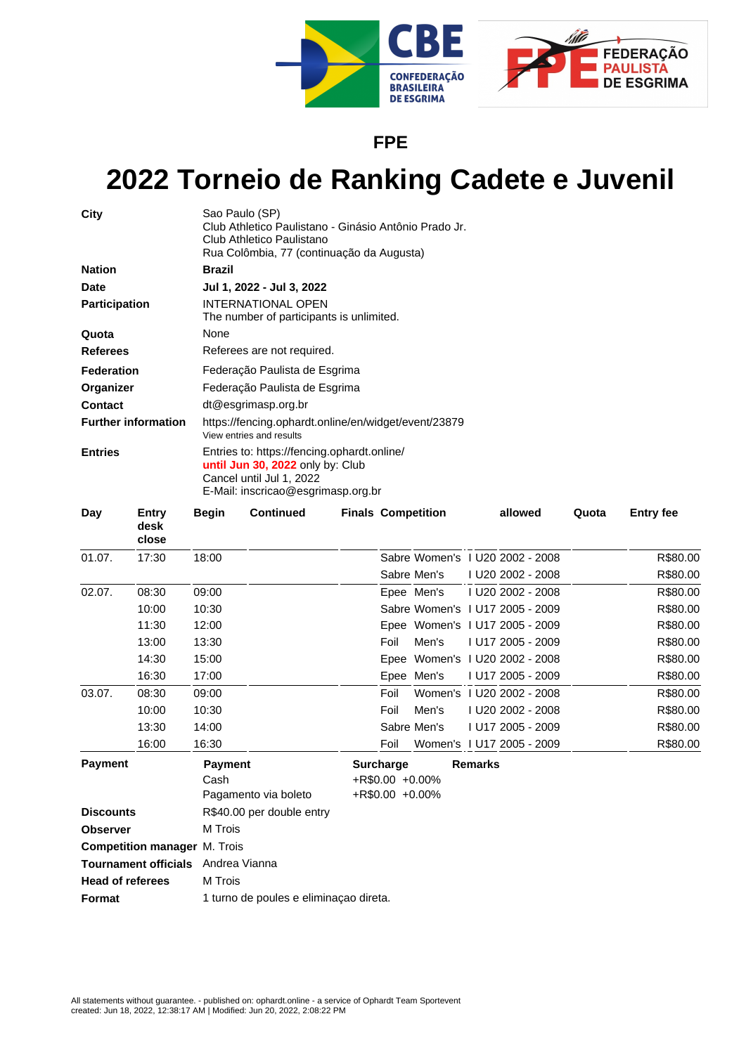

**FPE**

## **2022 Torneio de Ranking Cadete e Juvenil**

| City                       | Sao Paulo (SP)<br>Club Athletico Paulistano - Ginásio Antônio Prado Jr.<br>Club Athletico Paulistano<br>Rua Colômbia, 77 (continuação da Augusta) |  |  |  |  |  |
|----------------------------|---------------------------------------------------------------------------------------------------------------------------------------------------|--|--|--|--|--|
| <b>Nation</b>              | <b>Brazil</b>                                                                                                                                     |  |  |  |  |  |
| <b>Date</b>                | Jul 1, 2022 - Jul 3, 2022                                                                                                                         |  |  |  |  |  |
| <b>Participation</b>       | <b>INTERNATIONAL OPEN</b><br>The number of participants is unlimited.                                                                             |  |  |  |  |  |
| Quota                      | None                                                                                                                                              |  |  |  |  |  |
| <b>Referees</b>            | Referees are not required.                                                                                                                        |  |  |  |  |  |
| <b>Federation</b>          | Federação Paulista de Esgrima                                                                                                                     |  |  |  |  |  |
| Organizer                  | Federação Paulista de Esgrima                                                                                                                     |  |  |  |  |  |
| <b>Contact</b>             | dt@esgrimasp.org.br                                                                                                                               |  |  |  |  |  |
| <b>Further information</b> | https://fencing.ophardt.online/en/widget/event/23879<br>View entries and results                                                                  |  |  |  |  |  |
| <b>Entries</b>             | Entries to: https://fencing.ophardt.online/<br>until Jun 30, 2022 only by: Club<br>Cancel until Jul 1, 2022<br>E-Mail: inscricao@esgrimasp.org.br |  |  |  |  |  |

| Day                                                              | Entry<br>desk<br>close | Begin                               | <b>Continued</b>                                                         | <b>Finals Competition</b> |      |             | allowed | Quota                           | <b>Entry fee</b> |          |
|------------------------------------------------------------------|------------------------|-------------------------------------|--------------------------------------------------------------------------|---------------------------|------|-------------|---------|---------------------------------|------------------|----------|
| 01.07.                                                           | 17:30                  | 18:00                               |                                                                          |                           |      |             |         | Sabre Women's 1 U20 2002 - 2008 |                  | R\$80.00 |
|                                                                  |                        |                                     |                                                                          |                           |      | Sabre Men's |         | I U20 2002 - 2008               |                  | R\$80.00 |
| 02.07.                                                           | 08:30                  | 09:00                               |                                                                          |                           |      | Epee Men's  |         | I U20 2002 - 2008               |                  | R\$80.00 |
|                                                                  | 10:00                  | 10:30                               |                                                                          |                           |      |             |         | Sabre Women's 1 U17 2005 - 2009 |                  | R\$80.00 |
|                                                                  | 11:30                  | 12:00                               |                                                                          |                           |      |             |         | Epee Women's I U17 2005 - 2009  |                  | R\$80.00 |
|                                                                  | 13:00                  | 13:30                               |                                                                          |                           | Foil | Men's       |         | I U17 2005 - 2009               |                  | R\$80.00 |
|                                                                  | 14:30                  | 15:00                               |                                                                          |                           |      |             |         | Epee Women's 1 U20 2002 - 2008  |                  | R\$80.00 |
|                                                                  | 16:30                  | 17:00                               |                                                                          |                           |      | Epee Men's  |         | I U17 2005 - 2009               |                  | R\$80.00 |
| 03.07.                                                           | 08:30                  | 09:00                               |                                                                          |                           | Foil |             |         | Women's 1 U20 2002 - 2008       |                  | R\$80.00 |
|                                                                  | 10:00                  | 10:30                               |                                                                          |                           | Foil | Men's       |         | I U20 2002 - 2008               |                  | R\$80.00 |
|                                                                  | 13:30                  | 14:00                               |                                                                          |                           |      | Sabre Men's |         | LU17 2005 - 2009                |                  | R\$80.00 |
|                                                                  | 16:00                  | 16:30                               |                                                                          |                           | Foil |             |         | Women's 1 U17 2005 - 2009       |                  | R\$80.00 |
| <b>Payment</b><br><b>Payment</b><br>Cash<br>Pagamento via boleto |                        |                                     | <b>Surcharge</b><br><b>Remarks</b><br>+R\$0.00 +0.00%<br>+R\$0.00 +0.00% |                           |      |             |         |                                 |                  |          |
| R\$40.00 per double entry<br><b>Discounts</b>                    |                        |                                     |                                                                          |                           |      |             |         |                                 |                  |          |
| <b>Observer</b>                                                  |                        | M Trois                             |                                                                          |                           |      |             |         |                                 |                  |          |
|                                                                  |                        | <b>Competition manager M. Trois</b> |                                                                          |                           |      |             |         |                                 |                  |          |
| <b>Tournament officials</b><br>Andrea Vianna                     |                        |                                     |                                                                          |                           |      |             |         |                                 |                  |          |
| <b>Head of referees</b>                                          |                        | M Trois                             |                                                                          |                           |      |             |         |                                 |                  |          |

**Format** 1 turno de poules e eliminaçao direta.